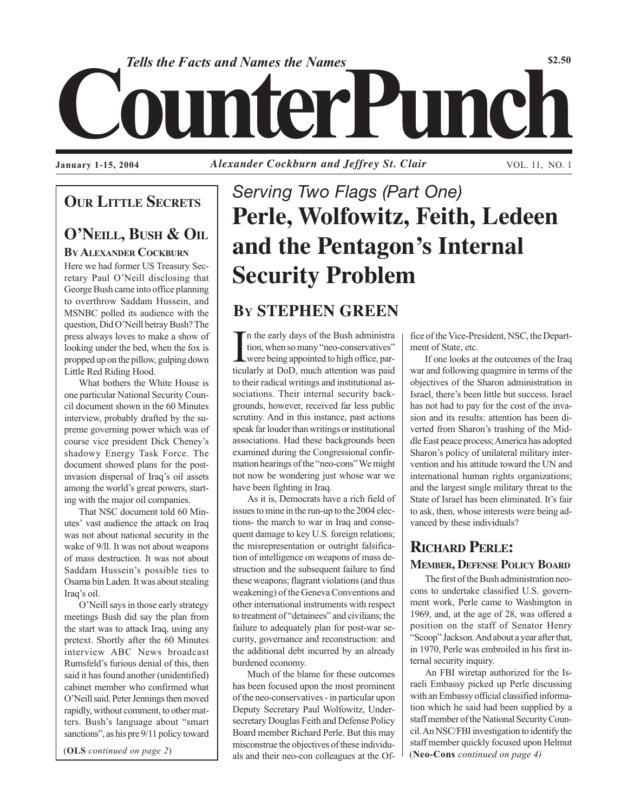

*Alexander Cockburn and Jeffrey St. Clair* **January 1-15, 2004** VOL. 11, NO. 1

## **OUR LITTLE SECRETS**

## **O'NEILL, BUSH & OIL BY ALEXANDER COCKBURN**

Here we had former US Treasury Secretary Paul O'Neill disclosing that George Bush came into office planning to overthrow Saddam Hussein, and MSNBC polled its audience with the question, Did O'Neill betray Bush? The press always loves to make a show of looking under the bed, when the fox is propped up on the pillow, gulping down Little Red Riding Hood.

What bothers the White House is one particular National Security Council document shown in the 60 Minutes interview, probably drafted by the supreme governing power which was of course vice president Dick Cheney's shadowy Energy Task Force. The document showed plans for the postinvasion dispersal of Iraq's oil assets among the world's great powers, starting with the major oil companies.

That NSC document told 60 Minutes' vast audience the attack on Iraq was not about national security in the wake of 9/ll. It was not about weapons of mass destruction. It was not about Saddam Hussein's possible ties to Osama bin Laden. It was about stealing Iraq's oil.

O'Neill says in those early strategy meetings Bush did say the plan from the start was to attack Iraq, using any pretext. Shortly after the 60 Minutes interview ABC News broadcast Rumsfeld's furious denial of this, then said it has found another (unidentified) cabinet member who confirmed what O'Neill said. Peter Jennings then moved rapidly, without comment, to other matters. Bush's language about "smart sanctions", as his pre 9/11 policy toward

(**OLS** *continued on page 2*)

# *Serving Two Flags (Part One)* **Perle, Wolfowitz, Feith, Ledeen and the Pentagon's Internal Security Problem**

## **BY STEPHEN GREEN**

In the early days of the Bush administration, when so many "neo-conservatives" were being appointed to high office, particularly at DoD, much attention was paid n the early days of the Bush administra tion, when so many "neo-conservatives" were being appointed to high office, parto their radical writings and institutional associations. Their internal security backgrounds, however, received far less public scrutiny. And in this instance, past actions speak far louder than writings or institutional associations. Had these backgrounds been examined during the Congressional confirmation hearings of the "neo-cons" We might not now be wondering just whose war we have been fighting in Iraq.

As it is, Democrats have a rich field of issues to mine in the run-up to the 2004 elections- the march to war in Iraq and consequent damage to key U.S. foreign relations; the misrepresentation or outright falsification of intelligence on weapons of mass destruction and the subsequent failure to find these weapons; flagrant violations (and thus weakening) of the Geneva Conventions and other international instruments with respect to treatment of "detainees" and civilians; the failure to adequately plan for post-war security, governance and reconstruction: and the additional debt incurred by an already burdened economy.

Much of the blame for these outcomes has been focused upon the most prominent of the neo-conservatives - in particular upon Deputy Secretary Paul Wolfowitz, Undersecretary Douglas Feith and Defense Policy Board member Richard Perle. But this may misconstrue the objectives of these individuals and their neo-con colleagues at the Of- (**Neo-Cons** *continued on page 4)*

fice of the Vice-President, NSC, the Department of State, etc.

If one looks at the outcomes of the Iraq war and following quagmire in terms of the objectives of the Sharon administration in Israel, there's been little but success. Israel has not had to pay for the cost of the invasion and its results: attention has been diverted from Sharon's trashing of the Middle East peace process; America has adopted Sharon's policy of unilateral military intervention and his attitude toward the UN and international human rights organizations; and the largest single military threat to the State of Israel has been eliminated. It's fair to ask, then, whose interests were being advanced by these individuals?

## **RICHARD PERLE: MEMBER, DEFENSE POLICY BOARD**

The first of the Bush administration neocons to undertake classified U.S. government work, Perle came to Washington in 1969, and, at the age of 28, was offered a position on the staff of Senator Henry "Scoop" Jackson. And about a year after that, in 1970, Perle was embroiled in his first internal security inquiry.

An FBI wiretap authorized for the Israeli Embassy picked up Perle discussing with an Embassy official classified information which he said had been supplied by a staff member of the National Security Council. An NSC/FBI investigation to identify the staff member quickly focused upon Helmut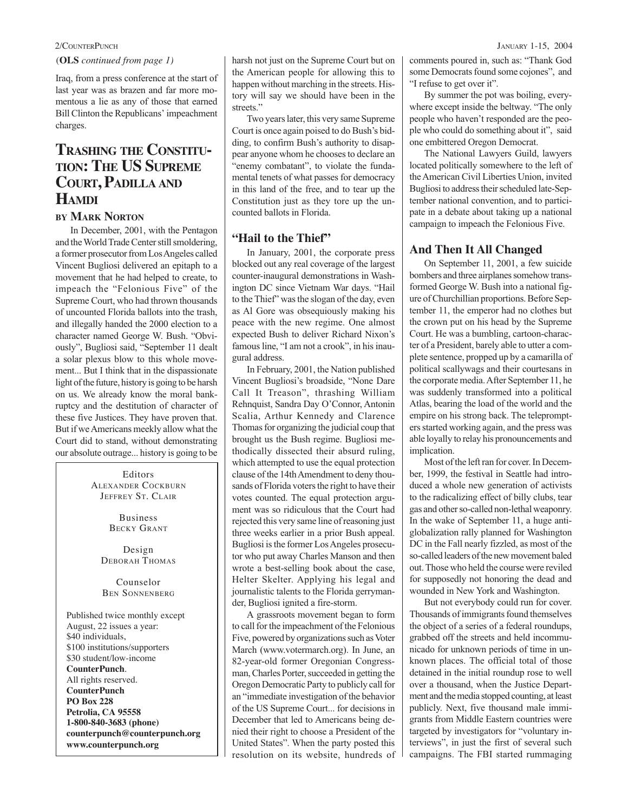(**OLS** *continued from page 1)*

Iraq, from a press conference at the start of last year was as brazen and far more momentous a lie as any of those that earned Bill Clinton the Republicans' impeachment charges.

# **TRASHING THE CONSTITU- TION: THE US SUPREME COURT, PADILLA AND HAMDI**

### **BY MARK NORTON**

In December, 2001, with the Pentagon and the World Trade Center still smoldering, a former prosecutor from Los Angeles called Vincent Bugliosi delivered an epitaph to a movement that he had helped to create, to impeach the "Felonious Five" of the Supreme Court, who had thrown thousands of uncounted Florida ballots into the trash, and illegally handed the 2000 election to a character named George W. Bush. "Obviously", Bugliosi said, "September 11 dealt a solar plexus blow to this whole movement... But I think that in the dispassionate light of the future, history is going to be harsh on us. We already know the moral bankruptcy and the destitution of character of these five Justices. They have proven that. But if we Americans meekly allow what the Court did to stand, without demonstrating our absolute outrage... history is going to be

> Editors ALEXANDER COCKBURN JEFFREY ST. CLAIR

> > Business BECKY GRANT

Design DEBORAH THOMAS

Counselor BEN SONNENBERG

Published twice monthly except August, 22 issues a year: \$40 individuals, \$100 institutions/supporters \$30 student/low-income **CounterPunch**. All rights reserved. **CounterPunch PO Box 228 Petrolia, CA 95558 1-800-840-3683 (phone) counterpunch@counterpunch.org www.counterpunch.org**

harsh not just on the Supreme Court but on the American people for allowing this to happen without marching in the streets. History will say we should have been in the streets."

Two years later, this very same Supreme Court is once again poised to do Bush's bidding, to confirm Bush's authority to disappear anyone whom he chooses to declare an "enemy combatant", to violate the fundamental tenets of what passes for democracy in this land of the free, and to tear up the Constitution just as they tore up the uncounted ballots in Florida.

### **"Hail to the Thief"**

In January, 2001, the corporate press blocked out any real coverage of the largest counter-inaugural demonstrations in Washington DC since Vietnam War days. "Hail to the Thief" was the slogan of the day, even as Al Gore was obsequiously making his peace with the new regime. One almost expected Bush to deliver Richard Nixon's famous line, "I am not a crook", in his inaugural address.

In February, 2001, the Nation published Vincent Bugliosi's broadside, "None Dare Call It Treason", thrashing William Rehnquist, Sandra Day O'Connor, Antonin Scalia, Arthur Kennedy and Clarence Thomas for organizing the judicial coup that brought us the Bush regime. Bugliosi methodically dissected their absurd ruling, which attempted to use the equal protection clause of the 14th Amendment to deny thousands of Florida voters the right to have their votes counted. The equal protection argument was so ridiculous that the Court had rejected this very same line of reasoning just three weeks earlier in a prior Bush appeal. Bugliosi is the former Los Angeles prosecutor who put away Charles Manson and then wrote a best-selling book about the case, Helter Skelter. Applying his legal and journalistic talents to the Florida gerrymander, Bugliosi ignited a fire-storm.

A grassroots movement began to form to call for the impeachment of the Felonious Five, powered by organizations such as Voter March (www.votermarch.org). In June, an 82-year-old former Oregonian Congressman, Charles Porter, succeeded in getting the Oregon Democratic Party to publicly call for an "immediate investigation of the behavior of the US Supreme Court... for decisions in December that led to Americans being denied their right to choose a President of the United States". When the party posted this resolution on its website, hundreds of comments poured in, such as: "Thank God some Democrats found some cojones", and "I refuse to get over it".

By summer the pot was boiling, everywhere except inside the beltway. "The only people who haven't responded are the people who could do something about it", said one embittered Oregon Democrat.

The National Lawyers Guild, lawyers located politically somewhere to the left of the American Civil Liberties Union, invited Bugliosi to address their scheduled late-September national convention, and to participate in a debate about taking up a national campaign to impeach the Felonious Five.

### **And Then It All Changed**

On September 11, 2001, a few suicide bombers and three airplanes somehow transformed George W. Bush into a national figure of Churchillian proportions. Before September 11, the emperor had no clothes but the crown put on his head by the Supreme Court. He was a bumbling, cartoon-character of a President, barely able to utter a complete sentence, propped up by a camarilla of political scallywags and their courtesans in the corporate media. After September 11, he was suddenly transformed into a political Atlas, bearing the load of the world and the empire on his strong back. The teleprompters started working again, and the press was able loyally to relay his pronouncements and implication.

Most of the left ran for cover. In December, 1999, the festival in Seattle had introduced a whole new generation of activists to the radicalizing effect of billy clubs, tear gas and other so-called non-lethal weaponry. In the wake of September 11, a huge antiglobalization rally planned for Washington DC in the Fall nearly fizzled, as most of the so-called leaders of the new movement baled out. Those who held the course were reviled for supposedly not honoring the dead and wounded in New York and Washington.

But not everybody could run for cover. Thousands of immigrants found themselves the object of a series of a federal roundups, grabbed off the streets and held incommunicado for unknown periods of time in unknown places. The official total of those detained in the initial roundup rose to well over a thousand, when the Justice Department and the media stopped counting, at least publicly. Next, five thousand male immigrants from Middle Eastern countries were targeted by investigators for "voluntary interviews", in just the first of several such campaigns. The FBI started rummaging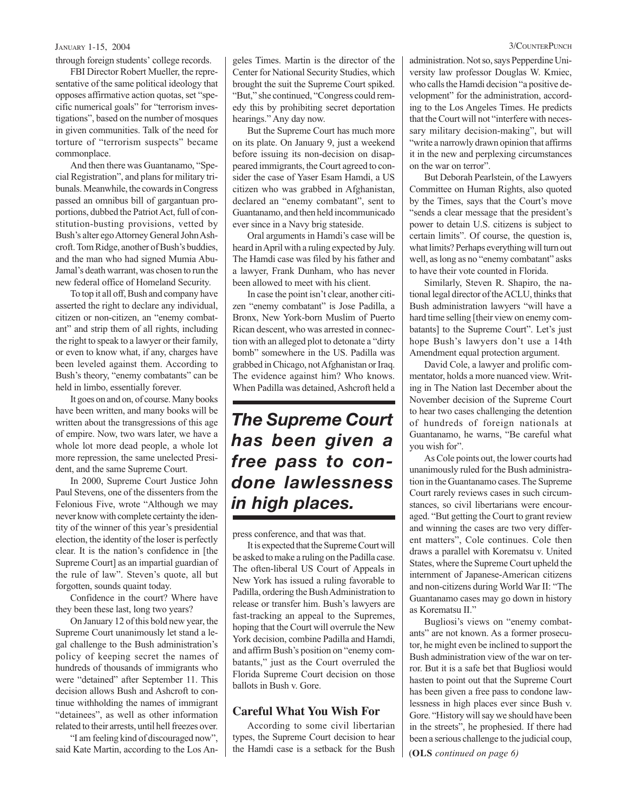### JANUARY 1-15, 2004 3/COUNTERPUNCH

through foreign students' college records.

FBI Director Robert Mueller, the representative of the same political ideology that opposes affirmative action quotas, set "specific numerical goals" for "terrorism investigations", based on the number of mosques in given communities. Talk of the need for torture of "terrorism suspects" became commonplace.

And then there was Guantanamo, "Special Registration", and plans for military tribunals. Meanwhile, the cowards in Congress passed an omnibus bill of gargantuan proportions, dubbed the Patriot Act, full of constitution-busting provisions, vetted by Bush's alter ego Attorney General John Ashcroft. Tom Ridge, another of Bush's buddies, and the man who had signed Mumia Abu-Jamal's death warrant, was chosen to run the new federal office of Homeland Security.

To top it all off, Bush and company have asserted the right to declare any individual, citizen or non-citizen, an "enemy combatant" and strip them of all rights, including the right to speak to a lawyer or their family, or even to know what, if any, charges have been leveled against them. According to Bush's theory, "enemy combatants" can be held in limbo, essentially forever.

It goes on and on, of course. Many books have been written, and many books will be written about the transgressions of this age of empire. Now, two wars later, we have a whole lot more dead people, a whole lot more repression, the same unelected President, and the same Supreme Court.

In 2000, Supreme Court Justice John Paul Stevens, one of the dissenters from the Felonious Five, wrote "Although we may never know with complete certainty the identity of the winner of this year's presidential election, the identity of the loser is perfectly clear. It is the nation's confidence in [the Supreme Court] as an impartial guardian of the rule of law". Steven's quote, all but forgotten, sounds quaint today.

Confidence in the court? Where have they been these last, long two years?

On January 12 of this bold new year, the Supreme Court unanimously let stand a legal challenge to the Bush administration's policy of keeping secret the names of hundreds of thousands of immigrants who were "detained" after September 11. This decision allows Bush and Ashcroft to continue withholding the names of immigrant "detainees", as well as other information related to their arrests, until hell freezes over.

"I am feeling kind of discouraged now", said Kate Martin, according to the Los Angeles Times. Martin is the director of the Center for National Security Studies, which brought the suit the Supreme Court spiked. "But," she continued, "Congress could remedy this by prohibiting secret deportation hearings." Any day now.

But the Supreme Court has much more on its plate. On January 9, just a weekend before issuing its non-decision on disappeared immigrants, the Court agreed to consider the case of Yaser Esam Hamdi, a US citizen who was grabbed in Afghanistan, declared an "enemy combatant", sent to Guantanamo, and then held incommunicado ever since in a Navy brig stateside.

Oral arguments in Hamdi's case will be heard in April with a ruling expected by July. The Hamdi case was filed by his father and a lawyer, Frank Dunham, who has never been allowed to meet with his client.

In case the point isn't clear, another citizen "enemy combatant" is Jose Padilla, a Bronx, New York-born Muslim of Puerto Rican descent, who was arrested in connection with an alleged plot to detonate a "dirty bomb" somewhere in the US. Padilla was grabbed in Chicago, not Afghanistan or Iraq. The evidence against him? Who knows. When Padilla was detained, Ashcroft held a

## *The Supreme Court has been given a free pass to condone lawlessness in high places.*

press conference, and that was that.

It is expected that the Supreme Court will be asked to make a ruling on the Padilla case. The often-liberal US Court of Appeals in New York has issued a ruling favorable to Padilla, ordering the Bush Administration to release or transfer him. Bush's lawyers are fast-tracking an appeal to the Supremes, hoping that the Court will overrule the New York decision, combine Padilla and Hamdi, and affirm Bush's position on "enemy combatants," just as the Court overruled the Florida Supreme Court decision on those ballots in Bush v. Gore.

### **Careful What You Wish For**

According to some civil libertarian types, the Supreme Court decision to hear the Hamdi case is a setback for the Bush administration. Not so, says Pepperdine University law professor Douglas W. Kmiec, who calls the Hamdi decision "a positive development" for the administration, according to the Los Angeles Times. He predicts that the Court will not "interfere with necessary military decision-making", but will "write a narrowly drawn opinion that affirms it in the new and perplexing circumstances on the war on terror".

But Deborah Pearlstein, of the Lawyers Committee on Human Rights, also quoted by the Times, says that the Court's move "sends a clear message that the president's power to detain U.S. citizens is subject to certain limits". Of course, the question is, what limits? Perhaps everything will turn out well, as long as no "enemy combatant" asks to have their vote counted in Florida.

Similarly, Steven R. Shapiro, the national legal director of the ACLU, thinks that Bush administration lawyers "will have a hard time selling [their view on enemy combatants] to the Supreme Court". Let's just hope Bush's lawyers don't use a 14th Amendment equal protection argument.

David Cole, a lawyer and prolific commentator, holds a more nuanced view. Writing in The Nation last December about the November decision of the Supreme Court to hear two cases challenging the detention of hundreds of foreign nationals at Guantanamo, he warns, "Be careful what you wish for".

As Cole points out, the lower courts had unanimously ruled for the Bush administration in the Guantanamo cases. The Supreme Court rarely reviews cases in such circumstances, so civil libertarians were encouraged. "But getting the Court to grant review and winning the cases are two very different matters", Cole continues. Cole then draws a parallel with Korematsu v. United States, where the Supreme Court upheld the internment of Japanese-American citizens and non-citizens during World War II: "The Guantanamo cases may go down in history as Korematsu II."

Bugliosi's views on "enemy combatants" are not known. As a former prosecutor, he might even be inclined to support the Bush administration view of the war on terror. But it is a safe bet that Bugliosi would hasten to point out that the Supreme Court has been given a free pass to condone lawlessness in high places ever since Bush v. Gore. "History will say we should have been in the streets", he prophesied. If there had been a serious challenge to the judicial coup,

(**OLS** *continued on page 6)*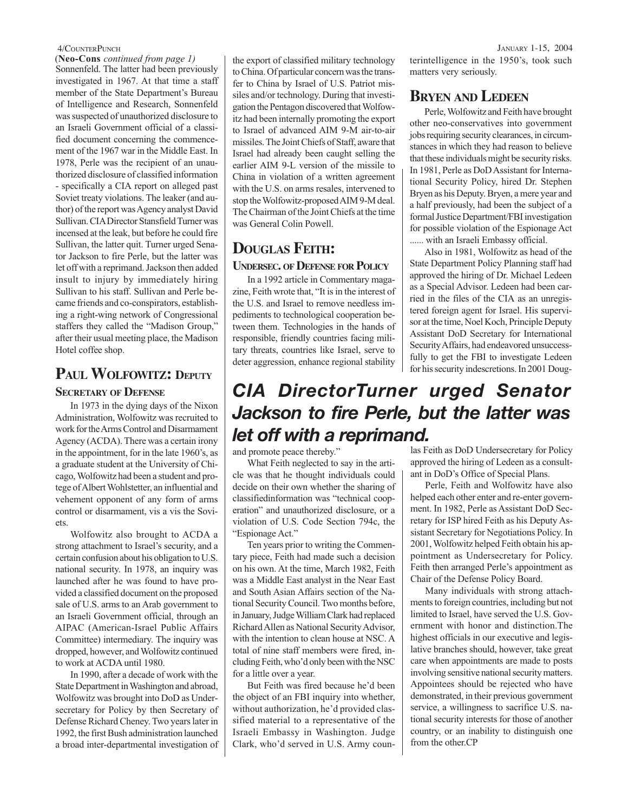Sonnenfeld. The latter had been previously investigated in 1967. At that time a staff member of the State Department's Bureau of Intelligence and Research, Sonnenfeld was suspected of unauthorized disclosure to an Israeli Government official of a classified document concerning the commencement of the 1967 war in the Middle East. In 1978, Perle was the recipient of an unauthorized disclosure of classified information - specifically a CIA report on alleged past Soviet treaty violations. The leaker (and author) of the report was Agency analyst David Sullivan. CIA Director Stansfield Turner was incensed at the leak, but before he could fire Sullivan, the latter quit. Turner urged Senator Jackson to fire Perle, but the latter was let off with a reprimand. Jackson then added insult to injury by immediately hiring Sullivan to his staff. Sullivan and Perle became friends and co-conspirators, establishing a right-wing network of Congressional staffers they called the "Madison Group," after their usual meeting place, the Madison Hotel coffee shop. (**Neo-Cons** *continued from page 1)*

## **PAUL WOLFOWITZ: DEPUTY**

### **SECRETARY OF DEFENSE**

In 1973 in the dying days of the Nixon Administration, Wolfowitz was recruited to work for the Arms Control and Disarmament Agency (ACDA). There was a certain irony in the appointment, for in the late 1960's, as a graduate student at the University of Chicago, Wolfowitz had been a student and protege of Albert Wohlstetter, an influential and vehement opponent of any form of arms control or disarmament, vis a vis the Soviets.

Wolfowitz also brought to ACDA a strong attachment to Israel's security, and a certain confusion about his obligation to U.S. national security. In 1978, an inquiry was launched after he was found to have provided a classified document on the proposed sale of U.S. arms to an Arab government to an Israeli Government official, through an AIPAC (American-Israel Public Affairs Committee) intermediary. The inquiry was dropped, however, and Wolfowitz continued to work at ACDA until 1980.

In 1990, after a decade of work with the State Department in Washington and abroad, Wolfowitz was brought into DoD as Undersecretary for Policy by then Secretary of Defense Richard Cheney. Two years later in 1992, the first Bush administration launched a broad inter-departmental investigation of the export of classified military technology to China. Of particular concern was the transfer to China by Israel of U.S. Patriot missiles and/or technology. During that investigation the Pentagon discovered that Wolfowitz had been internally promoting the export to Israel of advanced AIM 9-M air-to-air missiles. The Joint Chiefs of Staff, aware that Israel had already been caught selling the earlier AIM 9-L version of the missile to China in violation of a written agreement with the U.S. on arms resales, intervened to stop the Wolfowitz-proposed AIM 9-M deal. The Chairman of the Joint Chiefs at the time was General Colin Powell.

## **DOUGLAS FEITH:**

### **UNDERSEC. OF DEFENSE FOR POLICY**

In a 1992 article in Commentary magazine, Feith wrote that, "It is in the interest of the U.S. and Israel to remove needless impediments to technological cooperation between them. Technologies in the hands of responsible, friendly countries facing military threats, countries like Israel, serve to deter aggression, enhance regional stability

4/COUNTERPUNCH JANUARY 1-15, 2004 terintelligence in the 1950's, took such matters very seriously.

## **BRYEN AND LEDEEN**

Perle, Wolfowitz and Feith have brought other neo-conservatives into government jobs requiring security clearances, in circumstances in which they had reason to believe that these individuals might be security risks. In 1981, Perle as DoD Assistant for International Security Policy, hired Dr. Stephen Bryen as his Deputy. Bryen, a mere year and a half previously, had been the subject of a formal Justice Department/FBI investigation for possible violation of the Espionage Act ...... with an Israeli Embassy official.

Also in 1981, Wolfowitz as head of the State Department Policy Planning staff had approved the hiring of Dr. Michael Ledeen as a Special Advisor. Ledeen had been carried in the files of the CIA as an unregistered foreign agent for Israel. His supervisor at the time, Noel Koch, Principle Deputy Assistant DoD Secretary for International Security Affairs, had endeavored unsuccessfully to get the FBI to investigate Ledeen for his security indescretions. In 2001 Doug-

## *CIA DirectorTurner urged Senator Jackson to fire Perle, but the latter was let off with a reprimand.*

and promote peace thereby."

What Feith neglected to say in the article was that he thought individuals could decide on their own whether the sharing of classifiedinformation was "technical cooperation" and unauthorized disclosure, or a violation of U.S. Code Section 794c, the "Espionage Act."

Ten years prior to writing the Commentary piece, Feith had made such a decision on his own. At the time, March 1982, Feith was a Middle East analyst in the Near East and South Asian Affairs section of the National Security Council. Two months before, in January, Judge William Clark had replaced Richard Allen as National Security Advisor, with the intention to clean house at NSC. A total of nine staff members were fired, including Feith, who'd only been with the NSC for a little over a year.

But Feith was fired because he'd been the object of an FBI inquiry into whether, without authorization, he'd provided classified material to a representative of the Israeli Embassy in Washington. Judge Clark, who'd served in U.S. Army counlas Feith as DoD Undersecretary for Policy approved the hiring of Ledeen as a consultant in DoD's Office of Special Plans.

Perle, Feith and Wolfowitz have also helped each other enter and re-enter government. In 1982, Perle as Assistant DoD Secretary for ISP hired Feith as his Deputy Assistant Secretary for Negotiations Policy. In 2001, Wolfowitz helped Feith obtain his appointment as Undersecretary for Policy. Feith then arranged Perle's appointment as Chair of the Defense Policy Board.

Many individuals with strong attachments to foreign countries, including but not limited to Israel, have served the U.S. Government with honor and distinction.The highest officials in our executive and legislative branches should, however, take great care when appointments are made to posts involving sensitive national security matters. Appointees should be rejected who have demonstrated, in their previous government service, a willingness to sacrifice U.S. national security interests for those of another country, or an inability to distinguish one from the other.CP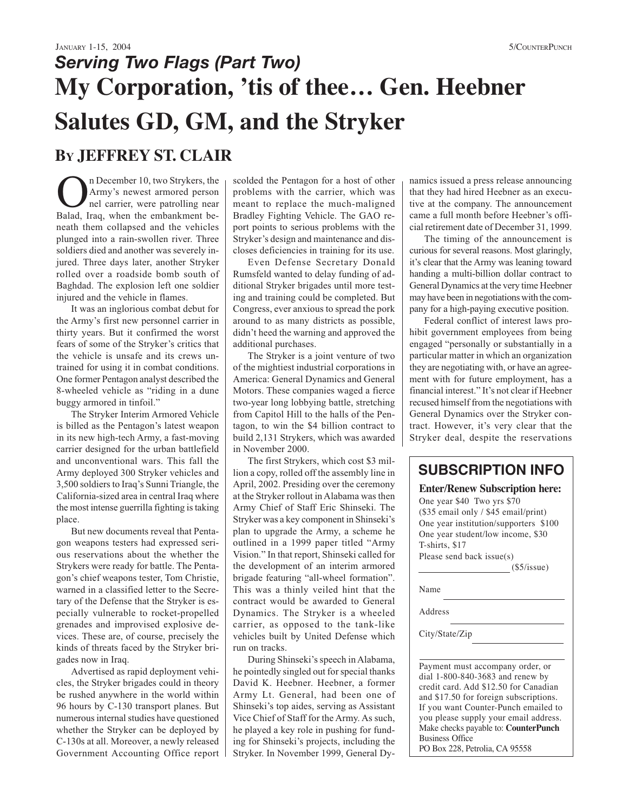# *Serving Two Flags (Part Two)* **My Corporation, 'tis of thee… Gen. Heebner Salutes GD, GM, and the Stryker BY JEFFREY ST. CLAIR**

The December 10, two Strykers, the<br>Army's newest armored person<br>nel carrier, were patrolling near<br>Ralad Iraq, when the embankment be-Army's newest armored person nel carrier, were patrolling near Balad, Iraq, when the embankment beneath them collapsed and the vehicles plunged into a rain-swollen river. Three soldiers died and another was severely injured. Three days later, another Stryker rolled over a roadside bomb south of Baghdad. The explosion left one soldier injured and the vehicle in flames.

It was an inglorious combat debut for the Army's first new personnel carrier in thirty years. But it confirmed the worst fears of some of the Stryker's critics that the vehicle is unsafe and its crews untrained for using it in combat conditions. One former Pentagon analyst described the 8-wheeled vehicle as "riding in a dune buggy armored in tinfoil."

The Stryker Interim Armored Vehicle is billed as the Pentagon's latest weapon in its new high-tech Army, a fast-moving carrier designed for the urban battlefield and unconventional wars. This fall the Army deployed 300 Stryker vehicles and 3,500 soldiers to Iraq's Sunni Triangle, the California-sized area in central Iraq where the most intense guerrilla fighting is taking place.

But new documents reveal that Pentagon weapons testers had expressed serious reservations about the whether the Strykers were ready for battle. The Pentagon's chief weapons tester, Tom Christie, warned in a classified letter to the Secretary of the Defense that the Stryker is especially vulnerable to rocket-propelled grenades and improvised explosive devices. These are, of course, precisely the kinds of threats faced by the Stryker brigades now in Iraq.

Advertised as rapid deployment vehicles, the Stryker brigades could in theory be rushed anywhere in the world within 96 hours by C-130 transport planes. But numerous internal studies have questioned whether the Stryker can be deployed by C-130s at all. Moreover, a newly released Government Accounting Office report scolded the Pentagon for a host of other problems with the carrier, which was meant to replace the much-maligned Bradley Fighting Vehicle. The GAO report points to serious problems with the Stryker's design and maintenance and discloses deficiencies in training for its use.

Even Defense Secretary Donald Rumsfeld wanted to delay funding of additional Stryker brigades until more testing and training could be completed. But Congress, ever anxious to spread the pork around to as many districts as possible, didn't heed the warning and approved the additional purchases.

The Stryker is a joint venture of two of the mightiest industrial corporations in America: General Dynamics and General Motors. These companies waged a fierce two-year long lobbying battle, stretching from Capitol Hill to the halls of the Pentagon, to win the \$4 billion contract to build 2,131 Strykers, which was awarded in November 2000.

The first Strykers, which cost \$3 million a copy, rolled off the assembly line in April, 2002. Presiding over the ceremony at the Stryker rollout in Alabama was then Army Chief of Staff Eric Shinseki. The Stryker was a key component in Shinseki's plan to upgrade the Army, a scheme he outlined in a 1999 paper titled "Army Vision." In that report, Shinseki called for the development of an interim armored brigade featuring "all-wheel formation". This was a thinly veiled hint that the contract would be awarded to General Dynamics. The Stryker is a wheeled carrier, as opposed to the tank-like vehicles built by United Defense which run on tracks.

During Shinseki's speech in Alabama, he pointedly singled out for special thanks David K. Heebner. Heebner, a former Army Lt. General, had been one of Shinseki's top aides, serving as Assistant Vice Chief of Staff for the Army. As such, he played a key role in pushing for funding for Shinseki's projects, including the Stryker. In November 1999, General Dynamics issued a press release announcing that they had hired Heebner as an executive at the company. The announcement came a full month before Heebner's official retirement date of December 31, 1999.

The timing of the announcement is curious for several reasons. Most glaringly, it's clear that the Army was leaning toward handing a multi-billion dollar contract to General Dynamics at the very time Heebner may have been in negotiations with the company for a high-paying executive position.

Federal conflict of interest laws prohibit government employees from being engaged "personally or substantially in a particular matter in which an organization they are negotiating with, or have an agreement with for future employment, has a financial interest." It's not clear if Heebner recused himself from the negotiations with General Dynamics over the Stryker contract. However, it's very clear that the Stryker deal, despite the reservations

## **SUBSCRIPTION INFO**

### **Enter/Renew Subscription here:**

One year \$40 Two yrs \$70 (\$35 email only / \$45 email/print) One year institution/supporters \$100 One year student/low income, \$30 T-shirts, \$17 Please send back issue(s)

(\$5/issue)

Name

Address

City/State/Zip

Payment must accompany order, or dial 1-800-840-3683 and renew by credit card. Add \$12.50 for Canadian and \$17.50 for foreign subscriptions. If you want Counter-Punch emailed to you please supply your email address. Make checks payable to: **CounterPunch** Business Office

PO Box 228, Petrolia, CA 95558